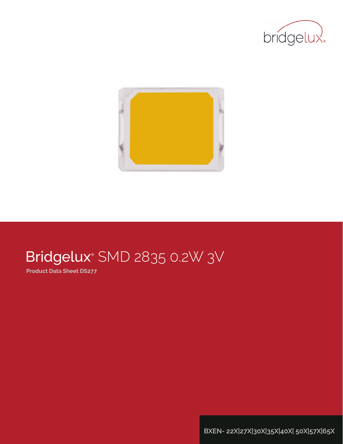



# Bridgelux® SMD 2835 0.2W 3V

**Product Data Sheet DS277**

**BXEN- 22X|27X|30X|35X|40X| 50X|57X|65X**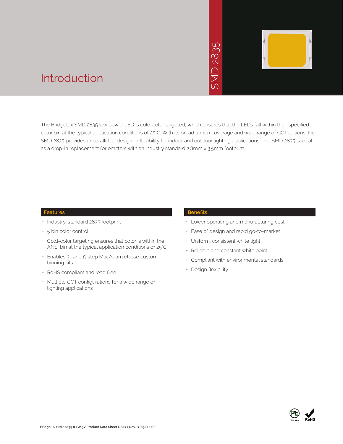# 2835  $\overline{\bigcap}$ JINS



### Introduction

The Bridgelux SMD 2835 low power LED is cold-color targeted, which ensures that the LEDs fall within their specified color bin at the typical application conditions of 25°C. With its broad lumen coverage and wide range of CCT options, the SMD 2835 provides unparalleled design-in flexibility for indoor and outdoor lighting applications. The SMD 2835 is ideal as a drop-in replacement for emitters with an industry standard 2.8mm x 3.5mm footprint. • Manuscript<br>
• Manuscript<br>
• Manuscript<br>
• Design X 3.5mm for<br>
• Design and Constant<br>
• Constant With e<br>
• Compliant with e<br>
• Design flexibility<br>
• Design flexibility<br>
• Design flexibility

#### **Features**

- Industry-standard 2835 footprint
- 5 bin color control
- Cold-color targeting ensures that color is within the ANSI bin at the typical application conditions of 25°C
- Enables 3- and 5-step MacAdam ellipse custom binning kits
- RoHS compliant and lead free
- Multiple CCT configurations for a wide range of lighting applications

#### **Benefits**

- Lower operating and manufacturing cost
- Ease of design and rapid go-to-market
- Uniform, consistent white light
- Reliable and constant white point
- Compliant with environmental standards
- · Design flexibility

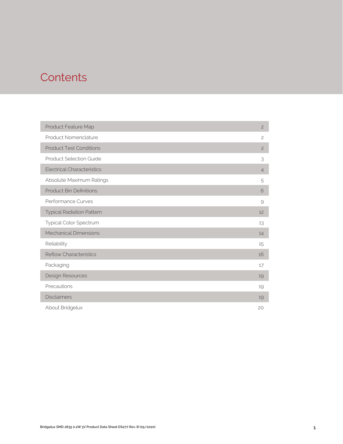### **Contents**

| Product Feature Map               | $\overline{c}$ |
|-----------------------------------|----------------|
| Product Nomenclature              | $\overline{c}$ |
| <b>Product Test Conditions</b>    | $\overline{c}$ |
| <b>Product Selection Guide</b>    | 3              |
| <b>Electrical Characteristics</b> | $\overline{4}$ |
| Absolute Maximum Ratings          | 5              |
| <b>Product Bin Definitions</b>    | 6              |
| Performance Curves                | 9              |
| <b>Typical Radiation Pattern</b>  | 12             |
| Typical Color Spectrum            | 13             |
| <b>Mechanical Dimensions</b>      | 14             |
| Reliability                       | 15             |
| <b>Reflow Characteristics</b>     | 16             |
| Packaging                         | 17             |
| Design Resources                  | 19             |
| Precautions                       | 19             |
| <b>Disclaimers</b>                | 19             |
| About Bridgelux                   | 20             |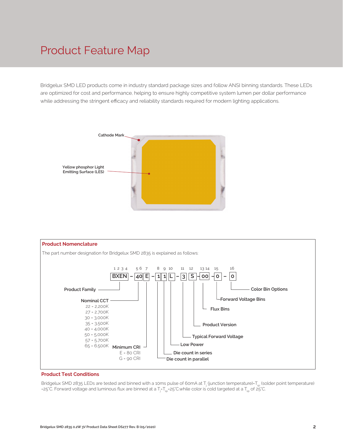### Product Feature Map

Bridgelux SMD LED products come in industry standard package sizes and follow ANSI binning standards. These LEDs are optimized for cost and performance, helping to ensure highly competitive system lumen per dollar performance while addressing the stringent efficacy and reliability standards required for modern lighting applications.





#### **Product Test Conditions**

Bridgelux SMD 2835 LEDs are tested and binned with a 10ms pulse of 60mA at T<sub>j</sub> (junction temperature)=T<sub>sp</sub> (solder point temperature) =25°C. Forward voltage and luminous flux are binned at a T<sub>j</sub>-T<sub>sp</sub>=25°C.while color is cold targeted at a T<sub>sp</sub> of 25°C.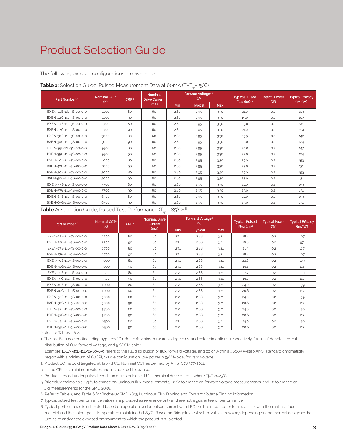### Product Selection Guide

The following product configurations are available:

| Part Number <sup>1,6</sup> | Nominal CCT <sup>2</sup><br>(K) | CRI3.5 | <b>Nominal</b><br><b>Drive Current</b> |      | Forward Voltage <sup>4.5</sup><br>(V) |      | <b>Typical Pulsed</b><br>Flux (lm)4.5 | <b>Typical Power</b><br>(W) | <b>Typical Efficacy</b><br>(lm/W) |  |
|----------------------------|---------------------------------|--------|----------------------------------------|------|---------------------------------------|------|---------------------------------------|-----------------------------|-----------------------------------|--|
|                            |                                 |        | (mA)                                   | Min  | <b>Typical</b><br>Max                 |      |                                       |                             |                                   |  |
| BXEN-22E-11L-3S-00-0-0     | 2200                            | 80     | 60                                     | 2.80 | 2.95                                  | 3.30 | 21.0                                  | 0.2                         | 119                               |  |
| BXEN-22G-11L-3S-00-0-0     | 2200                            | 90     | 60                                     | 2.80 | 2.95                                  | 3.30 | 19.0                                  | 0.2                         | 107                               |  |
| BXEN-27E-11L-3S-00-0-0     | 2700                            | 80     | 60                                     | 2.80 | 2.95                                  | 3.30 | 25.0                                  | 0.2                         | 141                               |  |
| BXEN-27G-11L-3S-00-0-0     | 2700                            | 90     | 60                                     | 2.80 | 2.95                                  | 3.30 | 21.0                                  | 0.2                         | 119                               |  |
| BXEN-30E-11L-3S-00-0-0     | 3000                            | 80     | 60                                     | 2.80 | 2.95                                  | 3.30 | 25.5                                  | 0.2                         | 142                               |  |
| BXEN-30G-11L-3S-00-0-0     | 3000                            | 90     | 60                                     | 2.80 | 2.95                                  | 3.30 | 22.0                                  | 0.2                         | 124                               |  |
| BXEN-35E-11L-3S-00-0-0     | 3500                            | 80     | 60                                     | 2.80 | 2.95                                  | 3.30 | 26.0                                  | 0.2                         | 147                               |  |
| BXEN-35G-11L-3S-00-0-0     | 3500                            | 90     | 60                                     | 2.80 | 2.95                                  | 3.30 | 22.0                                  | 0.2                         | 124                               |  |
| BXEN-40E-11L-3S-00-0-0     | 4000                            | 80     | 60                                     | 2.80 | 2.95                                  | 3.30 | 27.0                                  | 0.2                         | 153                               |  |
| BXEN-40G-11L-3S-00-0-0     | 4000                            | 90     | 60                                     | 2.80 | 2.95                                  | 3.30 | 23.0                                  | 0.2                         | 131                               |  |
| BXEN-50E-11L-3S-00-0-0     | 5000                            | 80     | 60                                     | 2.80 | 2.95                                  | 3.30 | 27.0                                  | 0.2                         | 153                               |  |
| BXEN-50G-11L-3S-00-0-0     | 5000                            | 90     | 60                                     | 2.80 | 2.95                                  | 3.30 | 23.0                                  | 0.2                         | 131                               |  |
| BXEN-57E-11L-3S-00-0-0     | 5700                            | 80     | 60                                     | 2.80 | 2.95                                  | 3.30 | 27.0                                  | 0.2                         | 153                               |  |
| BXEN-57G-11L-3S-00-0-0     | 5700                            | 90     | 60                                     | 2.80 | 2.95                                  | 3.30 | 23.0                                  | 0.2                         | 131                               |  |
| BXEN-65E-11L-3S-00-0-0     | 6500                            | 80     | 60                                     | 2.80 | 2.95                                  | 3.30 | 27.0                                  | 0.2                         | 153                               |  |
| BXEN-65G-11L-3S-00-0-0     | 6500                            | 90     | 60                                     | 2.80 | 2.95                                  | 3.30 | 23.0                                  | 0.2                         | 131                               |  |

### **Table 1:** Selection Guide, Pulsed Measurement Data at 60mA (T<sub>j</sub>=T<sub>sp</sub>=25°C)

**Table 2:** Selection Guide, Pulsed Test Performance (T<sub>sp</sub> = 85°C)<sup>7,8</sup>

| Part Number <sup>1,6</sup>  | Nominal CCT <sup>2</sup><br>(K) | CRI3.5 | <b>Nominal Drive</b><br><b>Current</b> |      | Forward Voltage <sup>5</sup><br>(V) |            | <b>Typical Pulsed</b>  | <b>Typical Power</b> | <b>Typical Efficacy</b><br>(lm/W) |  |
|-----------------------------|---------------------------------|--------|----------------------------------------|------|-------------------------------------|------------|------------------------|----------------------|-----------------------------------|--|
|                             |                                 |        | (mA)                                   | Min  | <b>Typical</b>                      | <b>Max</b> | Flux (lm) <sup>5</sup> | (W)                  |                                   |  |
| BXEN-22E-11L-3S-00-0-0      | 2200                            | 80     | 60                                     | 2.71 | 2.88                                | 3.21       | 18.4                   | 0.2                  | 107                               |  |
| BXEN-22G-11L-3S-00-0-0      | 2200                            | 90     | 60                                     | 2.71 | 2.88                                | 3.21       | 16.6                   | 0.2                  | 97                                |  |
| BXEN-27E-11L-3S-00-0-0      | 2700                            | 80     | 60                                     | 2.71 | 2.88                                | 3.21       | 21.9                   | 0.2                  | 127                               |  |
| BXEN-27G-11L-3S-00-0-0      | 2700                            | 90     | 60                                     | 2.71 | 2.88                                | 3.21       | 18.4                   | 0.2                  | 107                               |  |
| BXEN-30E-11L-3S-00-0-0      | 3000                            | 80     | 60                                     | 2.71 | 2.88                                | 3.21       | 22.8                   | 0.2                  | 129                               |  |
| BXEN-30G-11L-3S-00-0-0      | 3000                            | 90     | 60                                     | 2.71 | 2.88                                | 3.21       | 19.2                   | 0.2                  | 112                               |  |
| BXEN-35E-11L-3S-00-0-0      | 3500                            | 80     | 60                                     | 2.71 | 2.88                                | 3.21       | 22.7                   | 0.2                  | 133                               |  |
| BXEN-35G-11L-3S-00-0-0      | 3500                            | 90     | 60                                     | 2.71 | 2.88                                | 3.21       | 19.2                   | 0.2                  | 112                               |  |
| BXEN-40E-11L-3S-00-0-0      | 4000                            | 80     | 60                                     | 2.71 | 2.88                                | 3.21       | 24.0                   | 0.2                  | 139                               |  |
| BXEN-40G-11L-3S-00-0-0      | 4000                            | 90     | 60                                     | 2.71 | 2.88                                | 3.21       | 20.6                   | 0.2                  | 117                               |  |
| BXEN-50E-11L-3S-00-0-0      | 5000                            | 80     | 60                                     | 2.71 | 2.88                                | 3.21       | 24.0                   | 0.2                  | 139                               |  |
| BXEN-50G-11L-3S-00-0-0      | 5000                            | 90     | 60                                     | 2.71 | 2.88                                | 3.21       | 20.6                   | 0.2                  | 117                               |  |
| BXEN-57E-11L-3S-00-0-0      | 5700                            | 80     | 60                                     | 2.71 | 2.88                                | 3.21       | 24.0                   | 0.2                  | 139                               |  |
| BXEN-57G-11L-3S-00-0-0      | 5700                            | 90     | 60                                     | 2.71 | 2.88                                | 3.21       | 20.6                   | 0.2                  | 117                               |  |
| BXEN-65E-11L-3S-00-0-0      | 6500                            | 80     | 60                                     | 2.71 | 2.88                                | 3.21       | 24.0                   | 0.2                  | 139                               |  |
| BXEN-65G-11L-3S-00-0-0<br>. | 6500                            | 90     | 60                                     | 2.71 | 2.88                                | 3.21       | 20.6                   | 0.2                  | 117                               |  |

Notes for Tables 1 & 2:

1. The last 6 characters (including hyphens '-') refer to flux bins, forward voltage bins, and color bin options, respectively. "00-0-0" denotes the full distribution of flux, forward voltage, and 5 SDCM color.

 Example: BXEN-40E-11L-3S-00-0-0 refers to the full distribution of flux, forward voltage, and color within a 4000K 5-step ANSI standard chromaticity region with a minimum of 80CRI, 1x1 die configuration, low power, 2.95V typical forward voltage.

- 2. Product CCT is cold targeted at Tsp = 25°C. Nominal CCT as defined by ANSI C78.377-2011.
- 3. Listed CRIs are minimum values and include test tolerance.
- 4. Products tested under pulsed condition (10ms pulse width) at nominal drive current where Tj=Tsp=25°C.
- 5. Bridgelux maintains a ±7.5% tolerance on luminous flux measurements, ±0.1V tolerance on forward voltage measurements, and ±2 tolerance on CRI measurements for the SMD 2835.
- 6. Refer to Table 5 and Table 6 for Bridgelux SMD 2835 Luminous Flux Binning and Forward Voltage Binning information.
- 7. Typical pulsed test performance values are provided as reference only and are not a guarantee of performance.
- 8. Typical performance is estimated based on operation under pulsed current with LED emitter mounted onto a heat sink with thermal interface material and the solder point temperature maintained at 85°C. Based on Bridgelux test setup, values may vary depending on the thermal design of the luminaire and/or the exposed environment to which the product is subjected.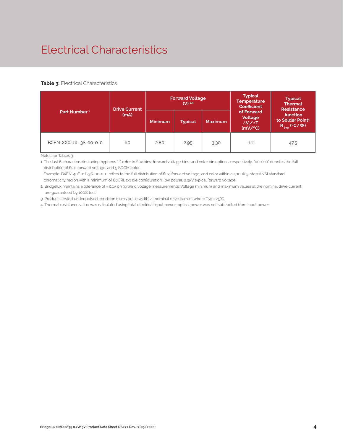# Electrical Characteristics

#### **Table 3: Electrical Characteristics**

|                          | <b>Drive Current</b> | <b>Forward Voltage</b><br>$(V)^{2,3}$ |                |                |                                                             | <b>Typical</b><br><b>Thermal</b><br><b>Resistance</b>                |  |
|--------------------------|----------------------|---------------------------------------|----------------|----------------|-------------------------------------------------------------|----------------------------------------------------------------------|--|
| Part Number <sup>1</sup> | (mA)                 | <b>Minimum</b>                        | <b>Typical</b> | <b>Maximum</b> | of Forward<br>Voltage<br>$\Delta V \sim \Delta T$<br>(mV/C) | <b>Junction</b><br>to Solder Point <sup>4</sup><br>$R_{j-sp}$ (°C/W) |  |
| BXEN-XXX-11L-3S-00-0-0   | 60                   | 2.80                                  | 2.95           | 3.30           | $-1.11$                                                     | 47.5                                                                 |  |

Notes for Tables 3:

1. The last 6 characters (including hyphens '-') refer to flux bins, forward voltage bins, and color bin options, respectively. "00-0-0" denotes the full distribution of flux, forward voltage, and 5 SDCM color.

 Example: BXEN-40E-11L-3S-00-0-0 refers to the full distribution of flux, forward voltage, and color within a 4000K 5-step ANSI standard chromaticity region with a minimum of 80CRI, 1x1 die configuration, low power, 2.95V typical forward voltage.

2. Bridgelux maintains a tolerance of ± 0.1V on forward voltage measurements. Voltage minimum and maximum values at the nominal drive current are guaranteed by 100% test.

3. Products tested under pulsed condition (10ms pulse width) at nominal drive current where Tsp = 25°C.

4. Thermal resistance value was calculated using total electrical input power; optical power was not subtracted from input power.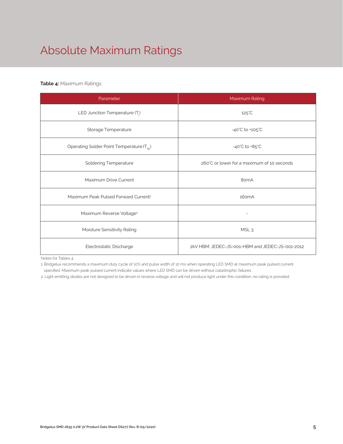# Absolute Maximum Ratings

### **Table 4:** Maximum Ratings

| Parameter                                             | Maximum Rating                                  |
|-------------------------------------------------------|-------------------------------------------------|
| LED Junction Temperature $(T_i)$                      | $125^{\circ}$ C                                 |
| Storage Temperature                                   | $-40^{\circ}$ C to $+105^{\circ}$ C             |
| Operating Solder Point Temperature (T <sub>Sp</sub> ) | $-40^{\circ}$ C to $+85^{\circ}$ C              |
| <b>Soldering Temperature</b>                          | 260°C or lower for a maximum of 10 seconds      |
| Maximum Drive Current                                 | 80 <sub>m</sub> A                               |
| Maximum Peak Pulsed Forward Current <sup>1</sup>      | 160 <sub>m</sub> A                              |
| Maximum Reverse Voltage <sup>2</sup>                  |                                                 |
| Moisture Sensitivity Rating                           | MSL <sub>3</sub>                                |
| Electrostatic Discharge                               | 2kV HBM. JEDEC-JS-001-HBM and JEDEC-JS-001-2012 |

Notes for Tables 4:

1. Bridgelux recommends a maximum duty cycle of 10% and pulse width of 10 ms when operating LED SMD at maximum peak pulsed current specified. Maximum peak pulsed current indicate values where LED SMD can be driven without catastrophic failures.

2. Light emitting diodes are not designed to be driven in reverse voltage and will not produce light under this condition. no rating is provided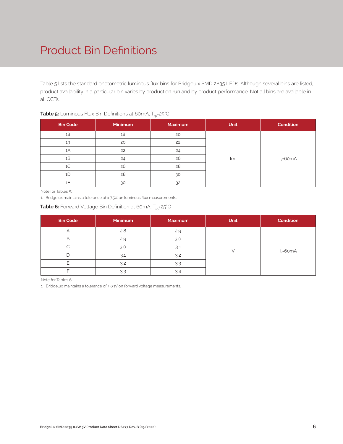# Product Bin Definitions

Table 5 lists the standard photometric luminous flux bins for Bridgelux SMD 2835 LEDs. Although several bins are listed, product availability in a particular bin varies by production run and by product performance. Not all bins are available in all CCTs.

|                 |         | <b>September 2019</b> |             |              |
|-----------------|---------|-----------------------|-------------|--------------|
| <b>Bin Code</b> | Minimum | <b>Maximum</b>        | <b>Unit</b> | Condition    |
| 18              | 18      | 20                    |             |              |
| 19              | 20      | 22                    |             |              |
| 1A              | 22      | 24                    |             |              |
| 1B              | 24      | 26                    | lm          | $I_F = 60mA$ |
| 1C              | 26      | 28                    |             |              |
| 1D              | 28      | 30                    |             |              |
| 1E              | 30      | 32                    |             |              |

### **Table 5:** Luminous Flux Bin Definitions at 60mA, T<sub>sp</sub>=25°C

Note for Tables 5:

1. Bridgelux maintains a tolerance of ±7.5% on luminous flux measurements.

| <b>Table 6:</b> Forward Voltage Bin Definition at 60mA, T <sub>sp</sub> =25°C |  |  |  |  |
|-------------------------------------------------------------------------------|--|--|--|--|
|-------------------------------------------------------------------------------|--|--|--|--|

| <b>Bin Code</b> | Minimum | <b>Maximum</b> | <b>Unit</b> | <b>Condition</b> |  |  |
|-----------------|---------|----------------|-------------|------------------|--|--|
|                 | 2.8     | 2.9            |             |                  |  |  |
| В               | 2.9     | 3.0            |             |                  |  |  |
|                 | 3.0     | 3.1            |             | $I_c = 60mA$     |  |  |
|                 | 3.1     | 3.2            |             |                  |  |  |
|                 | 3.2     | 3.3            |             |                  |  |  |
|                 | 3.3     | 3.4            |             |                  |  |  |

Note for Tables 6:

1. Bridgelux maintains a tolerance of ± 0.1V on forward voltage measurements.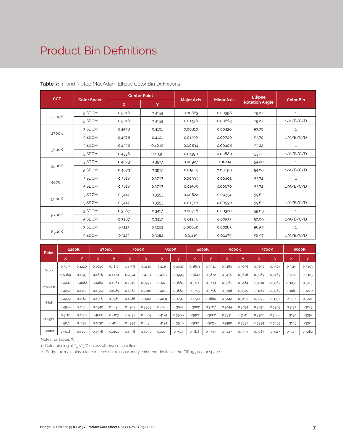### Product Bin Definitions

| <b>CCT</b> |                    |        | <b>Center Point</b> |                   | <b>Minor Axis</b> | <b>Ellipse</b>        | <b>Color Bin</b> |  |
|------------|--------------------|--------|---------------------|-------------------|-------------------|-----------------------|------------------|--|
|            | <b>Color Space</b> | X.     | Y                   | <b>Major Axis</b> |                   | <b>Rotation Angle</b> |                  |  |
|            | 3 SDCM             | 0.5018 | 0.4153              | 0.00863           | 0.00398           | 19.27                 | $\mathbf{1}$     |  |
| 2200K      | 5 SDCM             | 0.5018 | 0.4153              | 0.01438           | 0.00663           | 19.27                 | 1/A/B/C/D        |  |
|            | 3 SDCM             | 0.4578 | 0.4101              | 0.00810           | 0.00420           | 53.70                 | $\mathbf{1}$     |  |
| 2700K      | 5 SDCM             | 0.4578 | 0.4101              | 0.01350           | 0.00700           | 53.70                 | 1/A/B/C/D        |  |
|            | 3 SDCM             | 0.4338 | 0.4030              | 0.00834           | 0.00408           | 53.22                 | $\mathbf{1}$     |  |
| 3000K      | 5 SDCM             | 0.4338 | 0.4030              | 0.01390           | 0.00680           | 53.22                 | 1/A/B/C/D        |  |
|            | 3 SDCM             | 0.4073 | 0.3917              | 0.00927           | 0.00414           | 54.00                 | $\mathbf{1}$     |  |
| 3500K      | 5 SDCM             | 0.4073 | 0.3917              | 0.01545           | 0.00690           | 54.00                 | 1/A/B/C/D        |  |
|            | 3 SDCM             | 0.3818 | 0.3797              | 0.00939           | 0.00402           | 53.72                 | $\mathbf{1}$     |  |
| 4000K      | 5 SDCM             | 0.3818 | 0.3797              | 0.01565           | 0.00670           | 53.72                 | 1/A/B/C/D        |  |
|            | 3 SDCM             | 0.3447 | 0.3553              | 0.00822           | 0.00354           | 59.62                 | $\mathbf{1}$     |  |
| 5000K      | 5 SDCM             | 0.3447 | 0.3553              | 0.01370           | 0.00590           | 59.62                 | 1/A/B/C/D        |  |
|            | 3 SDCM             | 0.3287 | 0.3417              | 0.00746           | 0.00320           | 59.09                 | $\mathbf 1$      |  |
| 5700K      | 5 SDCM             | 0.3287 | 0.3417              | 0.01243           | 0.00533           | 59.09                 | 1/A/B/C/D        |  |
|            | 3 SDCM             | 0.3123 | 0.3282              | 0.00669           | 0.00285           | 58.57                 | $\mathbf{1}$     |  |
| 6500K      | 5 SDCM             | 0.3123 | 0.3282              | 0.01115           | 0.00475           | 58.57                 | 1/A/B/C/D        |  |

| Point   | 2200K  |        | 2700K       |        | 3000K  |              | 3500K  |        | 4000K       |        | 5000K       |        | 5700K  |        | 6500K  |             |
|---------|--------|--------|-------------|--------|--------|--------------|--------|--------|-------------|--------|-------------|--------|--------|--------|--------|-------------|
|         | x      | Y      | $\mathbf x$ | У      | x      | $\mathbf{v}$ | x      | y      | $\mathbf x$ | y      | $\mathbf x$ | v      | x      | У      | X.     | $\mathbf v$ |
|         | 0.5135 | 0.4220 | 0.4645      | 0.4216 | 0.4398 | 0.4149       | 0.4129 | 0.4047 | 0.3859      | 0.3921 | 0.3460      | 0.3658 | 0.3290 | 0.3504 | 0.3119 | 0.3353      |
| V-up    | 0.5089 | 0.4193 | 0.4618      | 0.4170 | 0.4374 | 0.4101       | 0.4107 | 0.3995 | 0.3842      | 0.3872 | 0.3455      | 0.3616 | 0.3289 | 0.3469 | 0.3120 | 0.3325      |
|         | 0.4907 | 0.4082 | 0.4489      | 0.4081 | 0.4245 | 0.3997       | 0.3972 | 0.3867 | 0.3714      | 0.3733 | 0.3361      | 0.3484 | 0.3210 | 0.3367 | 0.3052 | 0.3213      |
| V-down  | 0.4952 | 0.4110 | 0.4524      | 0.4089 | 0.4282 | 0.4010       | 0.4012 | 0.3887 | 0.3755      | 0.3758 | 0.3396      | 0.3515 | 0.3241 | 0.3387 | 0.3081 | 0.3240      |
|         | 0.4929 | 0.4182 | 0.4518      | 0.3985 | 0.4286 | 0.3912       | 0.4031 | 0.3792 | 0.3792      | 0.3680 | 0.3442      | 0.3455 | 0.3292 | 0.3337 | 0.3137 | 0.3221      |
| H-left  | 0.4964 | 0.4170 | 0.4542      | 0.4031 | 0.4307 | 0.3959       | 0.4048 | 0.3842 | 0.3802      | 0.3727 | 0.3444      | 0.3494 | 0.3290 | 0.3369 | 0.3131 | 0.3245      |
|         | 0.5110 | 0.4126 | 0.4668      | 0.4123 | 0.4431 | 0.4063       | 0.4174 | 0.3966 | 0.3922      | 0.3862 | 0.3531      | 0.3611 | 0.3366 | 0.3488 | 0.3194 | 0.3352      |
| H-right | 0.5074 | 0.4137 | 0.4632      | 0.4114 | 0.4394 | 0.4050       | 0.4134 | 0.3946 | 0.3881      | 0.3836 | 0.3498      | 0.3591 | 0.3334 | 0.3459 | 0.3165 | 0.3324      |
| Center  | 0.5018 | 0.4153 | 0.4578      | 0.4101 | 0.4338 | 0.4030       | 0.4073 | 0.3917 | 0.3818      | 0.3797 | 0.3447      | 0.3553 | 0.3287 | 0.3417 | 0.3123 | 0.3282      |

Notes for Tables 7:

1. Color binning at  $T_{\rm sp}$ =25°C unless otherwise specified

2. Bridgelux maintains a tolerance of ± 0.007 on x and y color coordinates in the CIE 1931 color space.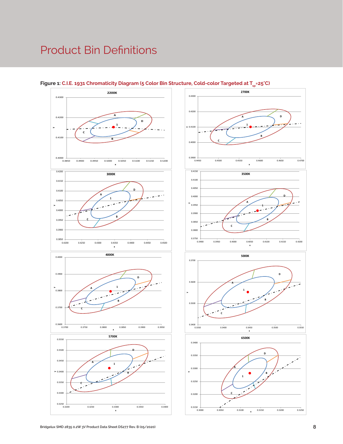### Product Bin Definitions







**1**

**D**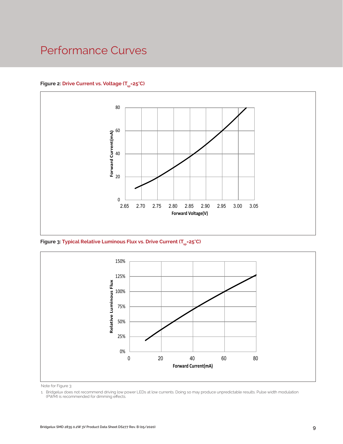### Performance Curves

### Figure 2: Drive Current vs. Voltage (T<sub>SD</sub>=25°C)



Figure 3: Typical Relative Luminous Flux vs. Drive Current (T<sub>sp</sub>=25°C)



Note for Figure 3:

1. Bridgelux does not recommend driving low power LEDs at low currents. Doing so may produce unpredictable results. Pulse width modulation (PWM) is recommended for dimming effects.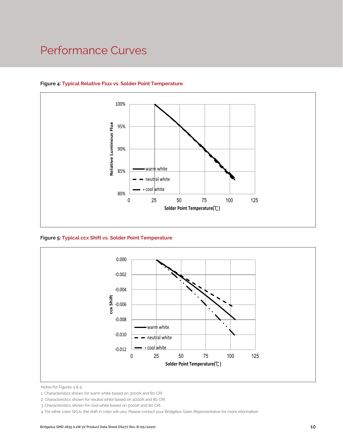### Performance Curves



### **Figure 4: Typical Relative Flux vs. Solder Point Temperature**

**Figure 5: Typical ccx Shift vs. Solder Point Temperature**



Notes for Figures 4 & 5:

4. For other color SKUs, the shift in color will vary. Please contact your Bridgelux Sales Representative for more information.

<sup>1.</sup> Characteristics shown for warm white based on 3000K and 80 CRI

<sup>2.</sup> Characteristics shown for neutral white based on 4000K and 80 CRI.

<sup>3.</sup> Characteristics shown for cool white based on 5000K and 80 CRI.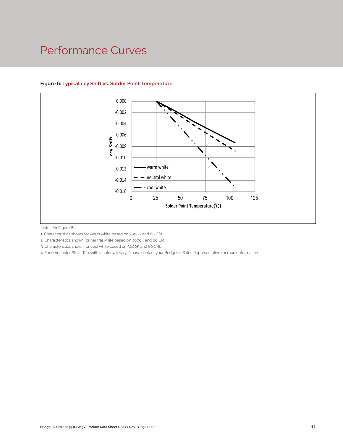### Performance Curves



### **Figure 6: Typical ccy Shift vs. Solder Point Temperature**

Notes for Figure 6:

1. Characteristics shown for warm white based on 3000K and 80 CRI

2. Characteristics shown for neutral white based on 4000K and 80 CRI.

3. Characteristics shown for cool white based on 5000K and 80 CRI.

CRI<br>10 CRI.<br>your Bridgelux Sales Representative for more information<br>and the sales of the Sales Representative for more information<br>of the Sales Sales Representative for more information<br>of the Sales Sales Representative f 4. For other color SKUs, the shift in color will vary. Please contact your Bridgelux Sales Representative for more information.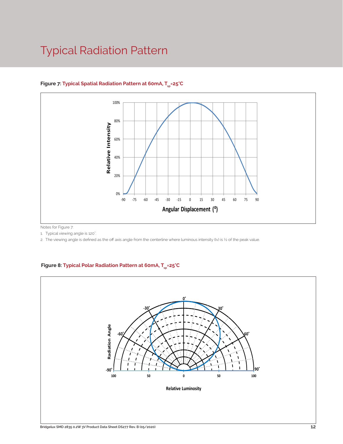### Typical Radiation Pattern



### Figure 7: Typical Spatial Radiation Pattern at 60mA, T<sub>er</sub>=25°C

Notes for Figure 7:

1. Typical viewing angle is 120°. .

2. The viewing angle is defined as the off axis angle from the centerline where luminous intensity (Iv) is ½ of the peak value.

### Figure 8: Typical Polar Radiation Pattern at 60mA, T<sub>sp</sub>=25°C

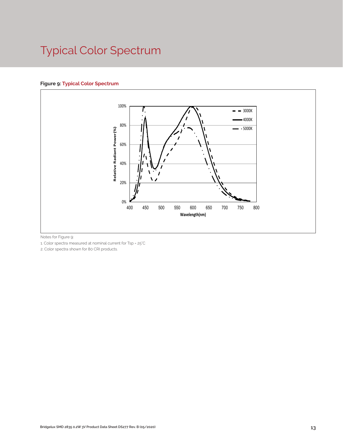# Typical Color Spectrum

### **Figure 9: Typical Color Spectrum**



Notes for Figure 9:

1. Color spectra measured at nominal current for Tsp = 25°C

2. Color spectra shown for 80 CRI products.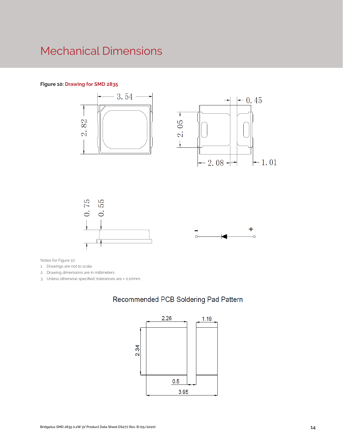### Mechanical Dimensions

#### **Figure 10: Drawing for SMD 2835**



Notes for Figure 10:

1. Drawings are not to scale.

2. Drawing dimensions are in millimeters.

3. Unless otherwise specified, tolerances are ± 0.10mm.

### Recommended PCB Soldering Pad Pattern

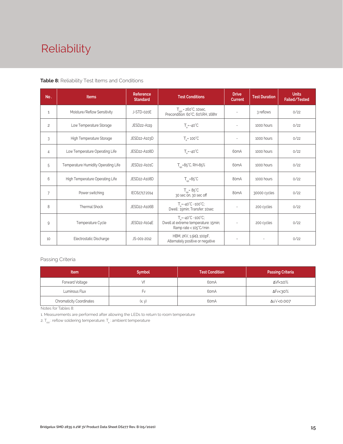# Reliability

#### **Table 8:** Reliability Test Items and Conditions

| No.            | <b>Items</b>                        | <b>Reference</b><br><b>Standard</b>  | <b>Test Conditions</b>                                                                                 | <b>Drive</b><br><b>Current</b> | <b>Test Duration</b> | <b>Units</b><br>Failed/Tested |
|----------------|-------------------------------------|--------------------------------------|--------------------------------------------------------------------------------------------------------|--------------------------------|----------------------|-------------------------------|
| 1              | Moisture/Reflow Sensitivity         | J-STD-020E                           | $T_{\text{cld}}$ = 260°C, 10sec,<br>Precondition: 60°C, 60%RH, 168hr                                   | $\sim$                         | 3 reflows            | 0/22                          |
| $\overline{c}$ | Low Temperature Storage             | JESD22-A119                          | $T_a = -40^{\circ}C$                                                                                   | $\bar{a}$                      | 1000 hours           | 0/22                          |
| 3              | High Temperature Storage            | JESD22-A103D                         | $T_a = 100^{\circ}$ C                                                                                  | $\sim$                         | 1000 hours           | 0/22                          |
| 4              | Low Temperature Operating Life      | JESD22-A108D<br>$T_s = -40^{\circ}C$ |                                                                                                        | 60 <sub>m</sub> A              | 1000 hours           | 0/22                          |
| 5              | Temperature Humidity Operating Life | JESD22-A101C                         | $T_{SD} = 85^{\circ}$ C, RH=85%                                                                        | 60 <sub>m</sub> A              | 1000 hours           | 0/22                          |
| 6              | High Temperature Operating Life     | JESD22-A108D                         | $T_{sn} = 85^{\circ}C$                                                                                 | 80 <sub>m</sub> A              | 1000 hours           | 0/22                          |
| $\overline{7}$ | Power switching                     | IEC62717:2014                        | $T_{\rm SD} = 85^{\circ}C$<br>30 sec on, 30 sec off                                                    | 80mA                           | 30000 cycles         | 0/22                          |
| 8              | <b>Thermal Shock</b>                | JESD22-A106B                         | $T_a = -40^{\circ}C - 100^{\circ}C$ ;<br>Dwell: 15min; Transfer: 10sec                                 | $\sim$                         | 200 cycles           | 0/22                          |
| 9              | Temperature Cycle                   | JESD22-A104E                         | $T_a = -40^{\circ}C - 100^{\circ}C$ ;<br>Dwell at extreme temperature: 15min;<br>Ramp rate < 105°C/min |                                | 200 cycles           | 0/22                          |
| 10             | Electrostatic Discharge             | JS-001-2012                          | HBM, $2KV$ , $1.5k\Omega$ , 100pF,<br>Alternately positive or negative                                 | $\overline{\phantom{a}}$       |                      | 0/22                          |

### Passing Criteria

| <b>Item</b>                          | <b>Symbol</b> | <b>Test Condition</b> | <b>Passing Criteria</b> |
|--------------------------------------|---------------|-----------------------|-------------------------|
| Forward Voltage                      |               | 60 <sub>m</sub> A     | ΔVf<10%                 |
| Luminous Flux                        | ۲v            | 60 <sub>m</sub> A     | ΔFν<30%                 |
| <b>Chromaticity Coordinates</b><br>. | (x, y)        | 60 <sub>m</sub> A     | Δu'v'<0.007             |

Notes for Tables 8:

1. Measurements are performed after allowing the LEDs to return to room temperature

2.  $T_{\scriptscriptstyle \rm std}$  : reflow soldering temperature;  $T_{\scriptscriptstyle \rm a}$  : ambient temperature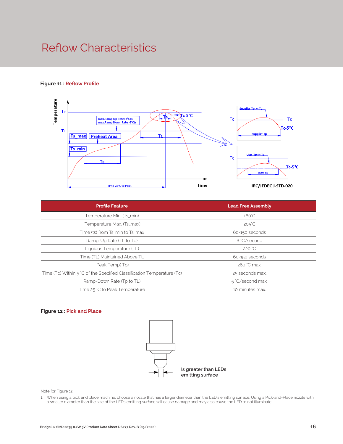### Reflow Characteristics

### **Figure 11 : Reflow Profile**



| <b>Profile Feature</b>                                                 | <b>Lead Free Assembly</b> |  |
|------------------------------------------------------------------------|---------------------------|--|
| Temperature Min. (Ts_min)                                              | $160^{\circ}$ C           |  |
| Temperature Max. (Ts_max)                                              | $205^{\circ}C$            |  |
| Time (ts) from Ts_min to Ts_max                                        | 60-150 seconds            |  |
| Ramp-Up Rate (TL to Tp)                                                | 3 °C/second               |  |
| Liquidus Temperature (TL)                                              | 220 °C                    |  |
| Time (TL) Maintained Above TL                                          | 60-150 seconds            |  |
| Peak Temp(Tp)                                                          | 260 °C max.               |  |
| Time (Tp) Within 5 °C of the Specified Classification Temperature (Tc) | 25 seconds max.           |  |
| Ramp-Down Rate (Tp to TL)                                              | 5 °C/second max.          |  |
| Time 25 °C to Peak Temperature                                         | 10 minutes max.           |  |

#### **Figure 12 : Pick and Place**



Note for Figure 12:

1. When using a pick and place machine, choose a nozzle that has a larger diameter than the LED's emitting surface. Using a Pick-and-Place nozzle with a smaller diameter than the size of the LEDs emitting surface will cause damage and may also cause the LED to not illuminate.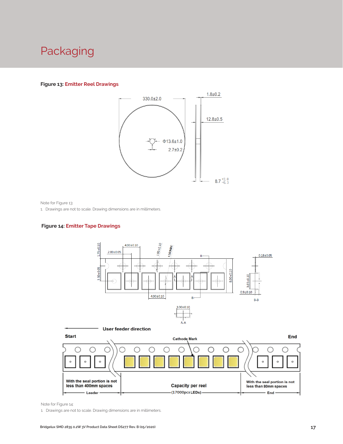### Packaging

#### **Figure 13: Emitter Reel Drawings**



Note for Figure 13:

1. Drawings are not to scale. Drawing dimensions are in millimeters.

### **Figure 14: Emitter Tape Drawings**





Note for Figure 14:

1. Drawings are not to scale. Drawing dimensions are in millimeters.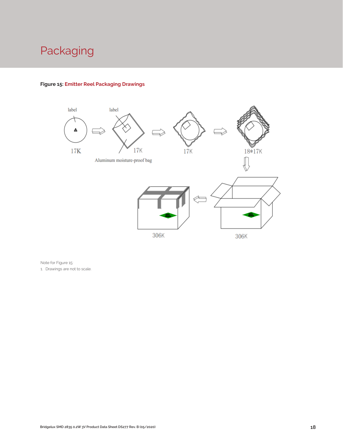# Packaging



### **Figure 15: Emitter Reel Packaging Drawings**

Note for Figure 15:

1. Drawings are not to scale.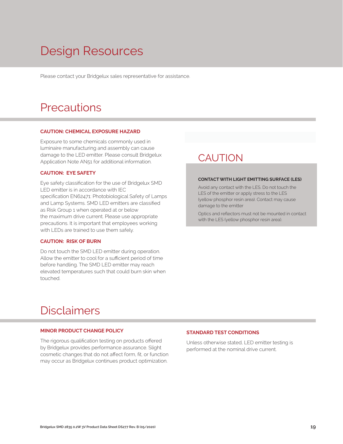# Design Resources

Please contact your Bridgelux sales representative for assistance.

### **Precautions**

#### **CAUTION: CHEMICAL EXPOSURE HAZARD**

Exposure to some chemicals commonly used in luminaire manufacturing and assembly can cause damage to the LED emitter. Please consult Bridgelux Application Note AN51 for additional information.

#### **CAUTION: EYE SAFETY**

Eye safety classification for the use of Bridgelux SMD LED emitter is in accordance with IEC specification EN62471: Photobiological Safety of Lamps and Lamp Systems. SMD LED emitters are classified as Risk Group 1 when operated at or below the maximum drive current. Please use appropriate precautions. It is important that employees working with LEDs are trained to use them safely.

#### **CAUTION: RISK OF BURN**

Do not touch the SMD LED emitter during operation. Allow the emitter to cool for a sufficient period of time before handling. The SMD LED emitter may reach elevated temperatures such that could burn skin when touched.

### **CAUTION**

#### **CONTACT WITH LIGHT EMITTING SURFACE (LES)**

Avoid any contact with the LES. Do not touch the LES of the emitter or apply stress to the LES (yellow phosphor resin area). Contact may cause damage to the emitter

Optics and reflectors must not be mounted in contact with the LES (yellow phosphor resin area).

### Disclaimers

#### **MINOR PRODUCT CHANGE POLICY**

The rigorous qualification testing on products offered by Bridgelux provides performance assurance. Slight cosmetic changes that do not affect form, fit, or function may occur as Bridgelux continues product optimization.

#### **STANDARD TEST CONDITIONS**

Unless otherwise stated, LED emitter testing is performed at the nominal drive current.